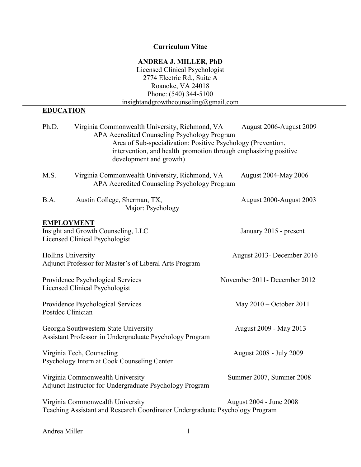## **Curriculum Vitae**

## **ANDREA J. MILLER, PhD**

Licensed Clinical Psychologist 2774 Electric Rd., Suite A Roanoke, VA 24018 Phone: (540) 344-5100 insightandgrowthcounseling@gmail.com

# **EDUCATION**

| Ph.D.                                                                                                                                       | Virginia Commonwealth University, Richmond, VA<br>APA Accredited Counseling Psychology Program<br>Area of Sub-specialization: Positive Psychology (Prevention,<br>intervention, and health promotion through emphasizing positive<br>development and growth) | August 2006-August 2009      |
|---------------------------------------------------------------------------------------------------------------------------------------------|--------------------------------------------------------------------------------------------------------------------------------------------------------------------------------------------------------------------------------------------------------------|------------------------------|
| M.S.                                                                                                                                        | Virginia Commonwealth University, Richmond, VA<br>APA Accredited Counseling Psychology Program                                                                                                                                                               | <b>August 2004-May 2006</b>  |
| B.A.                                                                                                                                        | Austin College, Sherman, TX,<br>Major: Psychology                                                                                                                                                                                                            | August 2000-August 2003      |
| <b>EMPLOYMENT</b><br>Insight and Growth Counseling, LLC<br>January 2015 - present<br>Licensed Clinical Psychologist                         |                                                                                                                                                                                                                                                              |                              |
| <b>Hollins University</b><br>August 2013- December 2016<br>Adjunct Professor for Master's of Liberal Arts Program                           |                                                                                                                                                                                                                                                              |                              |
|                                                                                                                                             | Providence Psychological Services<br>Licensed Clinical Psychologist                                                                                                                                                                                          | November 2011- December 2012 |
| Postdoc Clinician                                                                                                                           | Providence Psychological Services                                                                                                                                                                                                                            | May 2010 – October 2011      |
|                                                                                                                                             | Georgia Southwestern State University<br>Assistant Professor in Undergraduate Psychology Program                                                                                                                                                             | August 2009 - May 2013       |
|                                                                                                                                             | Virginia Tech, Counseling<br>Psychology Intern at Cook Counseling Center                                                                                                                                                                                     | August 2008 - July 2009      |
|                                                                                                                                             | Virginia Commonwealth University<br>Adjunct Instructor for Undergraduate Psychology Program                                                                                                                                                                  | Summer 2007, Summer 2008     |
| Virginia Commonwealth University<br>August 2004 - June 2008<br>Teaching Assistant and Research Coordinator Undergraduate Psychology Program |                                                                                                                                                                                                                                                              |                              |

Andrea Miller 1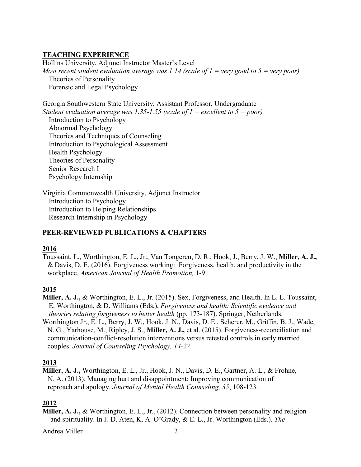### **TEACHING EXPERIENCE**

Hollins University, Adjunct Instructor Master's Level *Most recent student evaluation average was 1.14 (scale of 1 = very good to 5 = very poor)* Theories of Personality Forensic and Legal Psychology

Georgia Southwestern State University, Assistant Professor, Undergraduate *Student evaluation average was 1.35-1.55 (scale of 1 = excellent to 5 = poor)*  Introduction to Psychology Abnormal Psychology Theories and Techniques of Counseling Introduction to Psychological Assessment Health Psychology Theories of Personality Senior Research I Psychology Internship

Virginia Commonwealth University, Adjunct Instructor Introduction to Psychology Introduction to Helping Relationships Research Internship in Psychology

### **PEER-REVIEWED PUBLICATIONS & CHAPTERS**

#### **2016**

Toussaint, L., Worthington, E. L., Jr., Van Tongeren, D. R., Hook, J., Berry, J. W., **Miller, A. J.,** & Davis, D. E. (2016). Forgiveness working: Forgiveness, health, and productivity in the workplace. *American Journal of Health Promotion,* 1-9.

#### **2015**

- **Miller, A. J.,** & Worthington, E. L., Jr. (2015). Sex, Forgiveness, and Health. In L. L. Toussaint, E. Worthington, & D. Williams (Eds.), *Forgiveness and health: Scientific evidence and theories relating forgiveness to better health* (pp. 173-187). Springer, Netherlands.
- Worthington Jr., E. L., Berry, J. W., Hook, J. N., Davis, D. E., Scherer, M., Griffin, B. J., Wade, N. G., Yarhouse, M., Ripley, J. S., **Miller, A. J.,** et al. (2015). Forgiveness-reconciliation and communication-conflict-resolution interventions versus retested controls in early married couples. *Journal of Counseling Psychology, 14-27.*

#### **2013**

**Miller, A. J.,** Worthington, E. L., Jr., Hook, J. N., Davis, D. E., Gartner, A. L., & Frohne, N. A. (2013). Managing hurt and disappointment: Improving communication of reproach and apology. *Journal of Mental Health Counseling, 35*, 108-123.

### **2012**

**Miller, A. J.,** & Worthington, E. L., Jr., (2012). Connection between personality and religion and spirituality. In J. D. Aten, K. A. O'Grady, & E. L., Jr. Worthington (Eds.). *The* 

Andrea Miller 2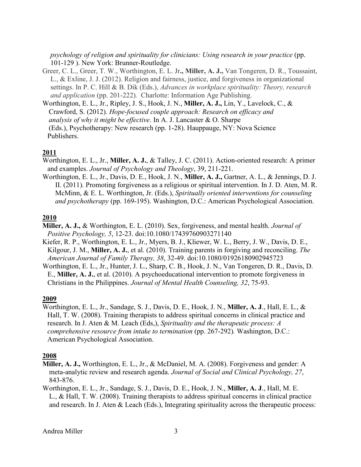*psychology of religion and spirituality for clinicians: Using research in your practice* (pp. 101-129 ). New York: Brunner-Routledge.

- Greer, C. L., Greer, T. W., Worthington, E. L. Jr**., Miller, A. J.,** Van Tongeren, D. R., Toussaint, L., & Exline, J. J. (2012). Religion and fairness, justice, and forgiveness in organizational settings. In P. C. Hill & B. Dik (Eds.), *Advances in workplace spirituality: Theory, research and application* (pp. 201-222)*.* Charlotte: Information Age Publishing.
- Worthington, E. L., Jr., Ripley, J. S., Hook, J. N., **Miller, A. J.,** Lin, Y., Lavelock, C., & Crawford, S. (2012). *Hope-focused couple approach: Research on efficacy and analysis of why it might be effective*. In A. J. Lancaster & O. Sharpe (Eds.), Psychotherapy: New research (pp. 1-28). Hauppauge, NY: Nova Science Publishers.

### **2011**

Worthington, E. L., Jr., **Miller, A. J.**, & Talley, J. C. (2011). Action-oriented research: A primer and examples. *Journal of Psychology and Theology*, 39, 211-221.

Worthington, E. L., Jr., Davis, D. E., Hook, J. N., **Miller, A. J.,** Gartner, A. L., & Jennings, D. J. II. (2011). Promoting forgiveness as a religious or spiritual intervention. In J. D. Aten, M. R. McMinn, & E. L. Worthington, Jr. (Eds.), *Spiritually oriented interventions for counseling and psychotherapy* (pp. 169-195). Washington, D.C.: American Psychological Association.

### **2010**

**Miller, A. J.,** & Worthington, E. L. (2010). Sex, forgiveness, and mental health. *Journal of Positive Psychology, 5*, 12-23. doi:10.1080/17439760903271140

- Kiefer, R. P., Worthington, E. L., Jr., Myers, B. J., Kliewer, W. L., Berry, J. W., Davis, D. E., Kilgour, J. M., **Miller, A. J.**, et al. (2010). Training parents in forgiving and reconciling. *The American Journal of Family Therapy, 38*, 32-49. doi:10.1080/01926180902945723
- Worthington, E. L., Jr., Hunter, J. L., Sharp, C. B., Hook, J. N., Van Tongeren, D. R., Davis, D. E., **Miller, A. J.**, et al. (2010). A psychoeducational intervention to promote forgiveness in Christians in the Philippines. *Journal of Mental Health Counseling, 32*, 75-93.

#### **2009**

Worthington, E. L., Jr., Sandage, S. J., Davis, D. E., Hook, J. N., **Miller, A. J**., Hall, E. L., & Hall, T. W. (2008). Training therapists to address spiritual concerns in clinical practice and research. In J. Aten & M. Leach (Eds,), *Spirituality and the therapeutic process: A comprehensive resource from intake to termination* (pp. 267-292)*.* Washington, D.C.: American Psychological Association.

#### **2008**

- **Miller, A. J.,** Worthington, E. L., Jr., & McDaniel, M. A. (2008). Forgiveness and gender: A meta-analytic review and research agenda. *Journal of Social and Clinical Psychology, 27*, 843-876.
- Worthington, E. L., Jr., Sandage, S. J., Davis, D. E., Hook, J. N., **Miller, A. J**., Hall, M. E. L., & Hall, T. W. (2008). Training therapists to address spiritual concerns in clinical practice and research. In J. Aten & Leach (Eds.), Integrating spirituality across the therapeutic process: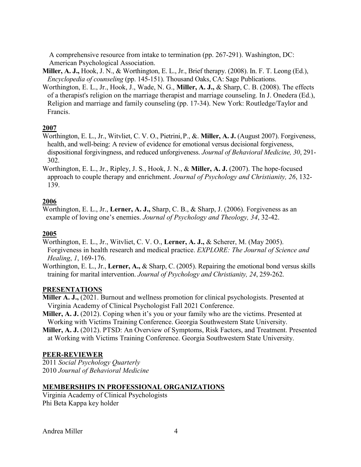A comprehensive resource from intake to termination (pp. 267-291). Washington, DC: American Psychological Association.

- **Miller, A. J.,** Hook, J. N., & Worthington, E. L., Jr., Brief therapy. (2008). In. F. T. Leong (Ed.), *Encyclopedia of counseling* (pp. 145-151). Thousand Oaks, CA: Sage Publications.
- Worthington, E. L., Jr., Hook, J., Wade, N. G., **Miller, A. J.,** & Sharp, C. B. (2008). The effects of a therapist's religion on the marriage therapist and marriage counseling. In J. Onedera (Ed.), Religion and marriage and family counseling (pp. 17-34). New York: Routledge/Taylor and Francis.

## **2007**

- Worthington, E. L., Jr., Witvliet, C. V. O., Pietrini,P., &. **Miller, A. J.** (August 2007). Forgiveness, health, and well-being: A review of evidence for emotional versus decisional forgiveness, dispositional forgivingness, and reduced unforgiveness. *Journal of Behavioral Medicine, 30*, 291- 302.
- Worthington, E. L., Jr., Ripley, J. S., Hook, J. N., & **Miller, A. J.** (2007). The hope-focused approach to couple therapy and enrichment. *Journal of Psychology and Christianity, 26*, 132- 139.

## **2006**

Worthington, E. L., Jr., **Lerner, A. J.,** Sharp, C. B., & Sharp, J. (2006). Forgiveness as an example of loving one's enemies. *Journal of Psychology and Theology, 34*, 32-42.

## **2005**

Worthington, E. L., Jr., Witvliet, C. V. O., **Lerner, A. J.,** & Scherer, M. (May 2005). Forgiveness in health research and medical practice. *EXPLORE: The Journal of Science and Healing*, *1*, 169-176.

Worthington, E. L., Jr., **Lerner, A.,** & Sharp, C. (2005). Repairing the emotional bond versus skills training for marital intervention. *Journal of Psychology and Christianity, 24*, 259-262.

### **PRESENTATIONS**

- **Miller A. J.,** (2021. Burnout and wellness promotion for clinical psychologists. Presented at Virginia Academy of Clinical Psychologist Fall 2021 Conference.
- **Miller, A. J.** (2012). Coping when it's you or your family who are the victims. Presented at Working with Victims Training Conference. Georgia Southwestern State University.
- **Miller, A. J.** (2012). PTSD: An Overview of Symptoms, Risk Factors, and Treatment. Presented at Working with Victims Training Conference. Georgia Southwestern State University.

### **PEER-REVIEWER**

2011 *Social Psychology Quarterly* 2010 *Journal of Behavioral Medicine*

### **MEMBERSHIPS IN PROFESSIONAL ORGANIZATIONS**

Virginia Academy of Clinical Psychologists Phi Beta Kappa key holder